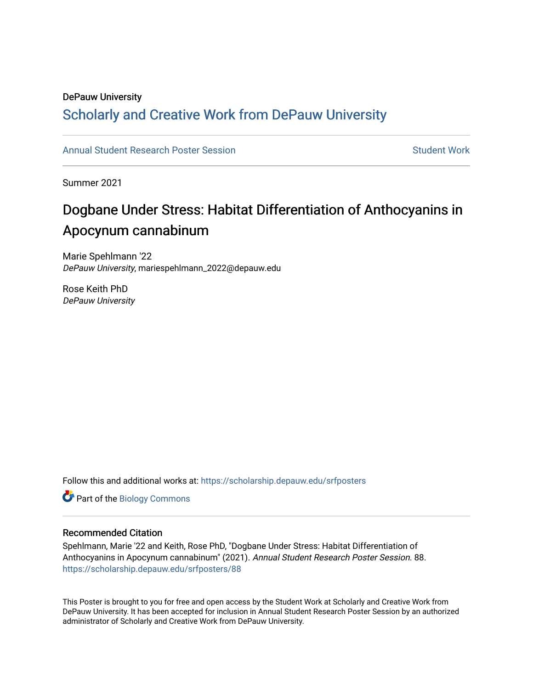### DePauw University

### Scholarly and [Creative Work from DePauw Univ](https://scholarship.depauw.edu/)ersity

### [Annual Student Research Poster Session](https://scholarship.depauw.edu/srfposters) Student Work

Summer 2021

### Dogbane Under Stress: Habitat Differentiation of Anthocyanins in Apocynum cannabinum

Marie Spehlmann '22 DePauw University, mariespehlmann\_2022@depauw.edu

Rose Keith PhD DePauw University

Follow this and additional works at: [https://scholarship.depauw.edu/srfposters](https://scholarship.depauw.edu/srfposters?utm_source=scholarship.depauw.edu%2Fsrfposters%2F88&utm_medium=PDF&utm_campaign=PDFCoverPages) 

Part of the [Biology Commons](https://network.bepress.com/hgg/discipline/41?utm_source=scholarship.depauw.edu%2Fsrfposters%2F88&utm_medium=PDF&utm_campaign=PDFCoverPages) 

### Recommended Citation

Spehlmann, Marie '22 and Keith, Rose PhD, "Dogbane Under Stress: Habitat Differentiation of Anthocyanins in Apocynum cannabinum" (2021). Annual Student Research Poster Session. 88. [https://scholarship.depauw.edu/srfposters/88](https://scholarship.depauw.edu/srfposters/88?utm_source=scholarship.depauw.edu%2Fsrfposters%2F88&utm_medium=PDF&utm_campaign=PDFCoverPages)

This Poster is brought to you for free and open access by the Student Work at Scholarly and Creative Work from DePauw University. It has been accepted for inclusion in Annual Student Research Poster Session by an authorized administrator of Scholarly and Creative Work from DePauw University.